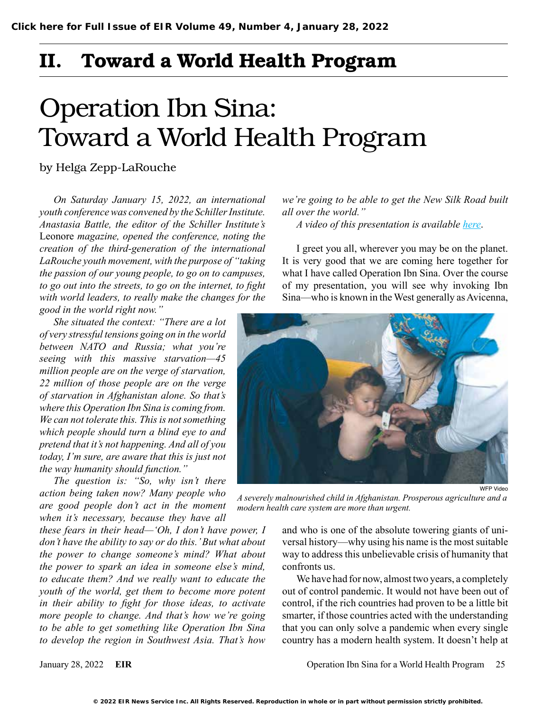## II. Toward a World Health Program

# Operation Ibn Sina: Toward a World Health Program

by Helga Zepp-LaRouche

*On Saturday January 15, 2022, an international youth conference was convened by the Schiller Institute. Anastasia Battle, the editor of the Schiller Institute's*  Leonore *magazine, opened the conference, noting the creation of the third-generation of the international LaRouche youth movement, with the purpose of "taking the passion of our young people, to go on to campuses, to go out into the streets, to go on the internet, to fight with world leaders, to really make the changes for the good in the world right now."* 

*She situated the context: "There are a lot of very stressful tensions going on in the world between NATO and Russia; what you're seeing with this massive starvation—45 million people are on the verge of starvation, 22 million of those people are on the verge of starvation in Afghanistan alone. So that's where this Operation Ibn Sina is coming from. We can not tolerate this. This is not something which people should turn a blind eye to and pretend that it's not happening. And all of you today, I'm sure, are aware that this is just not the way humanity should function."* 

*The question is: "So, why isn't there action being taken now? Many people who are good people don't act in the moment when it's necessary, because they have all* 

*these fears in their head—'Oh, I don't have power, I don't have the ability to say or do this.' But what about the power to change someone's mind? What about the power to spark an idea in someone else's mind, to educate them? And we really want to educate the youth of the world, get them to become more potent in their ability to fight for those ideas, to activate more people to change. And that's how we're going to be able to get something like Operation Ibn Sina to develop the region in Southwest Asia. That's how*  *we're going to be able to get the New Silk Road built all over the world."* 

*A video of this presentation is available [here](https://schillerinstitute.com/blog/2022/01/15/operation-ibn-sina-toward-a-world-health-program/)*.

I greet you all, wherever you may be on the planet. It is very good that we are coming here together for what I have called Operation Ibn Sina. Over the course of my presentation, you will see why invoking Ibn Sina—who is known in the West generally as Avicenna,



*A severely malnourished child in Afghanistan. Prosperous agriculture and a modern health care system are more than urgent.*

and who is one of the absolute towering giants of universal history—why using his name is the most suitable way to address this unbelievable crisis of humanity that confronts us.

We have had for now, almost two years, a completely out of control pandemic. It would not have been out of control, if the rich countries had proven to be a little bit smarter, if those countries acted with the understanding that you can only solve a pandemic when every single country has a modern health system. It doesn't help at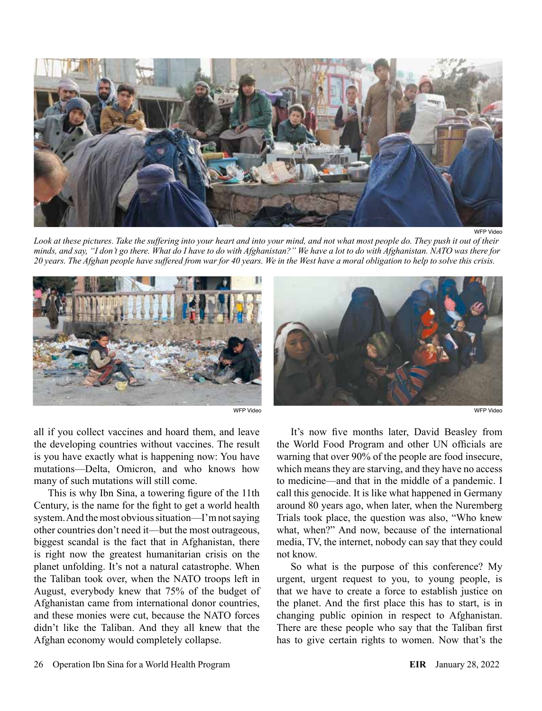

WFP Video

*Look at these pictures. Take the suffering into your heart and into your mind, and not what most people do. They push it out of their minds, and say, "I don't go there. What do I have to do with Afghanistan?" We have a lot to do with Afghanistan. NATO was there for 20 years. The Afghan people have suffered from war for 40 years. We in the West have a moral obligation to help to solve this crisis.*



all if you collect vaccines and hoard them, and leave the developing countries without vaccines. The result is you have exactly what is happening now: You have mutations—Delta, Omicron, and who knows how many of such mutations will still come.

This is why Ibn Sina, a towering figure of the 11th Century, is the name for the fight to get a world health system. And the most obvious situation—I'm not saying other countries don't need it—but the most outrageous, biggest scandal is the fact that in Afghanistan, there is right now the greatest humanitarian crisis on the planet unfolding. It's not a natural catastrophe. When the Taliban took over, when the NATO troops left in August, everybody knew that 75% of the budget of Afghanistan came from international donor countries, and these monies were cut, because the NATO forces didn't like the Taliban. And they all knew that the Afghan economy would completely collapse.



It's now five months later, David Beasley from the World Food Program and other UN officials are warning that over 90% of the people are food insecure, which means they are starving, and they have no access to medicine—and that in the middle of a pandemic. I call this genocide. It is like what happened in Germany around 80 years ago, when later, when the Nuremberg Trials took place, the question was also, "Who knew what, when?" And now, because of the international media, TV, the internet, nobody can say that they could not know.

So what is the purpose of this conference? My urgent, urgent request to you, to young people, is that we have to create a force to establish justice on the planet. And the first place this has to start, is in changing public opinion in respect to Afghanistan. There are these people who say that the Taliban first has to give certain rights to women. Now that's the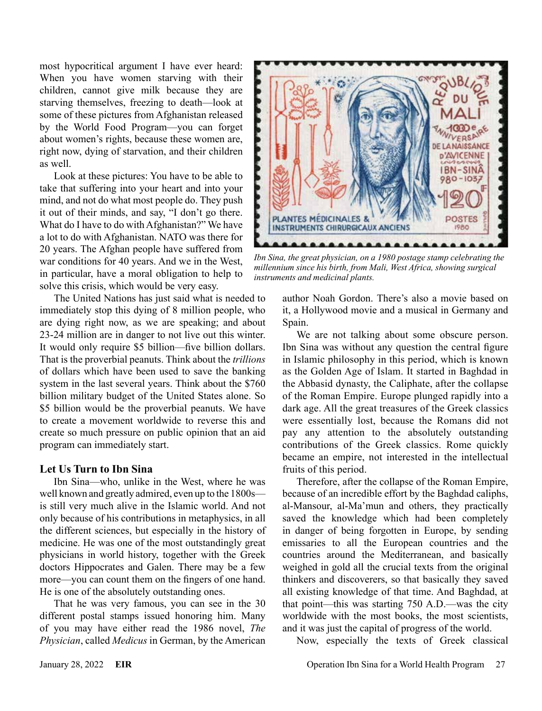most hypocritical argument I have ever heard: When you have women starving with their children, cannot give milk because they are starving themselves, freezing to death—look at some of these pictures from Afghanistan released by the World Food Program—you can forget about women's rights, because these women are, right now, dying of starvation, and their children as well.

Look at these pictures: You have to be able to take that suffering into your heart and into your mind, and not do what most people do. They push it out of their minds, and say, "I don't go there. What do I have to do with Afghanistan?" We have a lot to do with Afghanistan. NATO was there for 20 years. The Afghan people have suffered from war conditions for 40 years. And we in the West, in particular, have a moral obligation to help to solve this crisis, which would be very easy.

The United Nations has just said what is needed to immediately stop this dying of 8 million people, who are dying right now, as we are speaking; and about 23-24 million are in danger to not live out this winter. It would only require \$5 billion—five billion dollars. That is the proverbial peanuts. Think about the *trillions* of dollars which have been used to save the banking system in the last several years. Think about the \$760 billion military budget of the United States alone. So \$5 billion would be the proverbial peanuts. We have to create a movement worldwide to reverse this and create so much pressure on public opinion that an aid program can immediately start.

#### **Let Us Turn to Ibn Sina**

Ibn Sina—who, unlike in the West, where he was well known and greatly admired, even up to the 1800s is still very much alive in the Islamic world. And not only because of his contributions in metaphysics, in all the different sciences, but especially in the history of medicine. He was one of the most outstandingly great physicians in world history, together with the Greek doctors Hippocrates and Galen. There may be a few more—you can count them on the fingers of one hand. He is one of the absolutely outstanding ones.

That he was very famous, you can see in the 30 different postal stamps issued honoring him. Many of you may have either read the 1986 novel, *The Physician*, called *Medicus* in German, by the American



*Ibn Sina, the great physician, on a 1980 postage stamp celebrating the millennium since his birth, from Mali, West Africa, showing surgical instruments and medicinal plants.*

author Noah Gordon. There's also a movie based on it, a Hollywood movie and a musical in Germany and Spain.

We are not talking about some obscure person. Ibn Sina was without any question the central figure in Islamic philosophy in this period, which is known as the Golden Age of Islam. It started in Baghdad in the Abbasid dynasty, the Caliphate, after the collapse of the Roman Empire. Europe plunged rapidly into a dark age. All the great treasures of the Greek classics were essentially lost, because the Romans did not pay any attention to the absolutely outstanding contributions of the Greek classics. Rome quickly became an empire, not interested in the intellectual fruits of this period.

Therefore, after the collapse of the Roman Empire, because of an incredible effort by the Baghdad caliphs, al-Mansour, al-Ma'mun and others, they practically saved the knowledge which had been completely in danger of being forgotten in Europe, by sending emissaries to all the European countries and the countries around the Mediterranean, and basically weighed in gold all the crucial texts from the original thinkers and discoverers, so that basically they saved all existing knowledge of that time. And Baghdad, at that point—this was starting 750 A.D.—was the city worldwide with the most books, the most scientists, and it was just the capital of progress of the world.

Now, especially the texts of Greek classical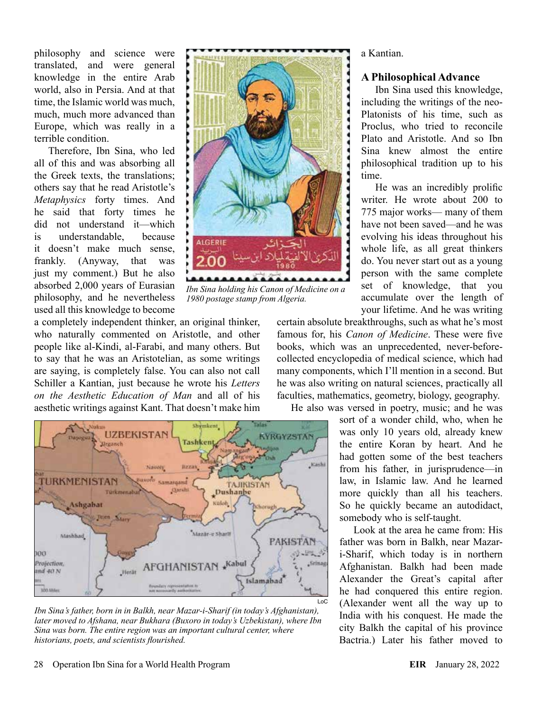philosophy and science were translated, and were general knowledge in the entire Arab world, also in Persia. And at that time, the Islamic world was much, much, much more advanced than Europe, which was really in a terrible condition.

Therefore, Ibn Sina, who led all of this and was absorbing all the Greek texts, the translations; others say that he read Aristotle's *Metaphysics* forty times. And he said that forty times he did not understand it—which is understandable, because it doesn't make much sense, frankly. (Anyway, that was just my comment.) But he also absorbed 2,000 years of Eurasian philosophy, and he nevertheless used all this knowledge to become



*Ibn Sina holding his Canon of Medicine on a 1980 postage stamp from Algeria.*

a completely independent thinker, an original thinker, who naturally commented on Aristotle, and other people like al-Kindi, al-Farabi, and many others. But to say that he was an Aristotelian, as some writings are saying, is completely false. You can also not call Schiller a Kantian, just because he wrote his *Letters on the Aesthetic Education of Man* and all of his aesthetic writings against Kant. That doesn't make him



*Ibn Sina's father, born in in Balkh, near Mazar-i-Sharif (in today's Afghanistan), later moved to Afshana, near Bukhara (Buxoro in today's Uzbekistan), where Ibn Sina was born. The entire region was an important cultural center, where historians, poets, and scientists flourished.*

a Kantian.

#### **A Philosophical Advance**

Ibn Sina used this knowledge, including the writings of the neo-Platonists of his time, such as Proclus, who tried to reconcile Plato and Aristotle. And so Ibn Sina knew almost the entire philosophical tradition up to his time.

He was an incredibly prolific writer. He wrote about 200 to 775 major works— many of them have not been saved—and he was evolving his ideas throughout his whole life, as all great thinkers do. You never start out as a young person with the same complete set of knowledge, that you accumulate over the length of your lifetime. And he was writing

certain absolute breakthroughs, such as what he's most famous for, his *Canon of Medicine*. These were five books, which was an unprecedented, never-beforecollected encyclopedia of medical science, which had many components, which I'll mention in a second. But he was also writing on natural sciences, practically all faculties, mathematics, geometry, biology, geography.

He also was versed in poetry, music; and he was

sort of a wonder child, who, when he was only 10 years old, already knew the entire Koran by heart. And he had gotten some of the best teachers from his father, in jurisprudence—in law, in Islamic law. And he learned more quickly than all his teachers. So he quickly became an autodidact, somebody who is self-taught.

Look at the area he came from: His father was born in Balkh, near Mazari-Sharif, which today is in northern Afghanistan. Balkh had been made Alexander the Great's capital after he had conquered this entire region. (Alexander went all the way up to India with his conquest. He made the city Balkh the capital of his province Bactria.) Later his father moved to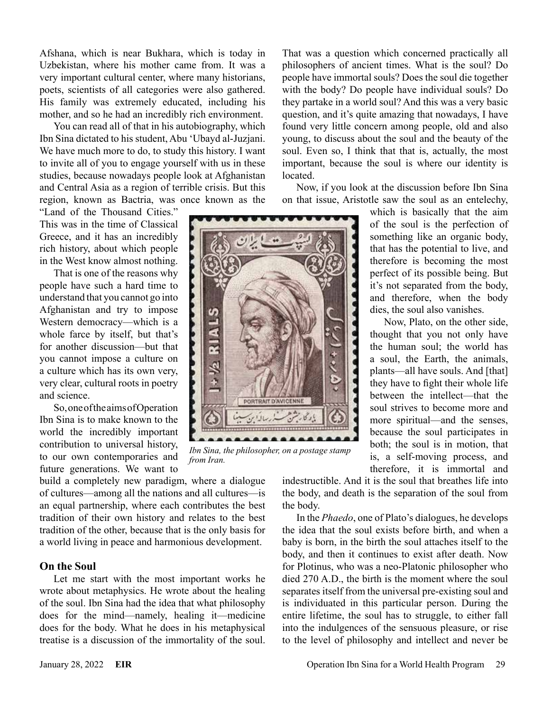Afshana, which is near Bukhara, which is today in Uzbekistan, where his mother came from. It was a very important cultural center, where many historians, poets, scientists of all categories were also gathered. His family was extremely educated, including his mother, and so he had an incredibly rich environment.

You can read all of that in his autobiography, which Ibn Sina dictated to his student, Abu 'Ubayd al-Juzjani. We have much more to do, to study this history. I want to invite all of you to engage yourself with us in these studies, because nowadays people look at Afghanistan and Central Asia as a region of terrible crisis. But this region, known as Bactria, was once known as the

"Land of the Thousand Cities." This was in the time of Classical Greece, and it has an incredibly rich history, about which people in the West know almost nothing.

That is one of the reasons why people have such a hard time to understand that you cannot go into Afghanistan and try to impose Western democracy—which is a whole farce by itself, but that's for another discussion—but that you cannot impose a culture on a culture which has its own very, very clear, cultural roots in poetry and science.

So, one of the aims of Operation Ibn Sina is to make known to the world the incredibly important contribution to universal history, to our own contemporaries and future generations. We want to

build a completely new paradigm, where a dialogue of cultures—among all the nations and all cultures—is an equal partnership, where each contributes the best tradition of their own history and relates to the best tradition of the other, because that is the only basis for a world living in peace and harmonious development.

#### **On the Soul**

Let me start with the most important works he wrote about metaphysics. He wrote about the healing of the soul. Ibn Sina had the idea that what philosophy does for the mind—namely, healing it—medicine does for the body. What he does in his metaphysical treatise is a discussion of the immortality of the soul.

That was a question which concerned practically all philosophers of ancient times. What is the soul? Do people have immortal souls? Does the soul die together with the body? Do people have individual souls? Do they partake in a world soul? And this was a very basic question, and it's quite amazing that nowadays, I have found very little concern among people, old and also young, to discuss about the soul and the beauty of the soul. Even so, I think that that is, actually, the most important, because the soul is where our identity is located.

Now, if you look at the discussion before Ibn Sina on that issue, Aristotle saw the soul as an entelechy,



*Ibn Sina, the philosopher, on a postage stamp from Iran.*

something like an organic body, that has the potential to live, and therefore is becoming the most perfect of its possible being. But it's not separated from the body, and therefore, when the body dies, the soul also vanishes. Now, Plato, on the other side,

which is basically that the aim of the soul is the perfection of

thought that you not only have the human soul; the world has a soul, the Earth, the animals, plants—all have souls. And [that] they have to fight their whole life between the intellect—that the soul strives to become more and more spiritual—and the senses, because the soul participates in both; the soul is in motion, that is, a self-moving process, and therefore, it is immortal and

indestructible. And it is the soul that breathes life into the body, and death is the separation of the soul from the body.

In the *Phaedo*, one of Plato's dialogues, he develops the idea that the soul exists before birth, and when a baby is born, in the birth the soul attaches itself to the body, and then it continues to exist after death. Now for Plotinus, who was a neo-Platonic philosopher who died 270 A.D., the birth is the moment where the soul separates itself from the universal pre-existing soul and is individuated in this particular person. During the entire lifetime, the soul has to struggle, to either fall into the indulgences of the sensuous pleasure, or rise to the level of philosophy and intellect and never be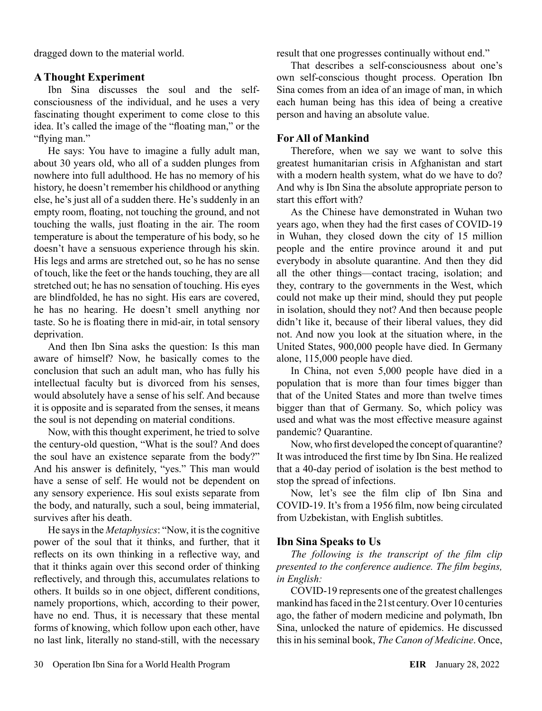dragged down to the material world.

#### **A Thought Experiment**

Ibn Sina discusses the soul and the selfconsciousness of the individual, and he uses a very fascinating thought experiment to come close to this idea. It's called the image of the "floating man," or the "flying man."

He says: You have to imagine a fully adult man, about 30 years old, who all of a sudden plunges from nowhere into full adulthood. He has no memory of his history, he doesn't remember his childhood or anything else, he's just all of a sudden there. He's suddenly in an empty room, floating, not touching the ground, and not touching the walls, just floating in the air. The room temperature is about the temperature of his body, so he doesn't have a sensuous experience through his skin. His legs and arms are stretched out, so he has no sense of touch, like the feet or the hands touching, they are all stretched out; he has no sensation of touching. His eyes are blindfolded, he has no sight. His ears are covered, he has no hearing. He doesn't smell anything nor taste. So he is floating there in mid-air, in total sensory deprivation.

And then Ibn Sina asks the question: Is this man aware of himself? Now, he basically comes to the conclusion that such an adult man, who has fully his intellectual faculty but is divorced from his senses, would absolutely have a sense of his self. And because it is opposite and is separated from the senses, it means the soul is not depending on material conditions.

Now, with this thought experiment, he tried to solve the century-old question, "What is the soul? And does the soul have an existence separate from the body?" And his answer is definitely, "yes." This man would have a sense of self. He would not be dependent on any sensory experience. His soul exists separate from the body, and naturally, such a soul, being immaterial, survives after his death.

He says in the *Metaphysics*: "Now, it is the cognitive power of the soul that it thinks, and further, that it reflects on its own thinking in a reflective way, and that it thinks again over this second order of thinking reflectively, and through this, accumulates relations to others. It builds so in one object, different conditions, namely proportions, which, according to their power, have no end. Thus, it is necessary that these mental forms of knowing, which follow upon each other, have no last link, literally no stand-still, with the necessary result that one progresses continually without end."

That describes a self-consciousness about one's own self-conscious thought process. Operation Ibn Sina comes from an idea of an image of man, in which each human being has this idea of being a creative person and having an absolute value.

#### **For All of Mankind**

Therefore, when we say we want to solve this greatest humanitarian crisis in Afghanistan and start with a modern health system, what do we have to do? And why is Ibn Sina the absolute appropriate person to start this effort with?

As the Chinese have demonstrated in Wuhan two years ago, when they had the first cases of COVID-19 in Wuhan, they closed down the city of 15 million people and the entire province around it and put everybody in absolute quarantine. And then they did all the other things—contact tracing, isolation; and they, contrary to the governments in the West, which could not make up their mind, should they put people in isolation, should they not? And then because people didn't like it, because of their liberal values, they did not. And now you look at the situation where, in the United States, 900,000 people have died. In Germany alone, 115,000 people have died.

In China, not even 5,000 people have died in a population that is more than four times bigger than that of the United States and more than twelve times bigger than that of Germany. So, which policy was used and what was the most effective measure against pandemic? Quarantine.

Now, who first developed the concept of quarantine? It was introduced the first time by Ibn Sina. He realized that a 40-day period of isolation is the best method to stop the spread of infections.

Now, let's see the film clip of Ibn Sina and COVID-19. It's from a 1956 film, now being circulated from Uzbekistan, with English subtitles.

#### **Ibn Sina Speaks to Us**

*The following is the transcript of the film clip presented to the conference audience. The film begins, in English:* 

COVID-19 represents one of the greatest challenges mankind has faced in the 21st century. Over 10 centuries ago, the father of modern medicine and polymath, Ibn Sina, unlocked the nature of epidemics. He discussed this in his seminal book, *The Canon of Medicine*. Once,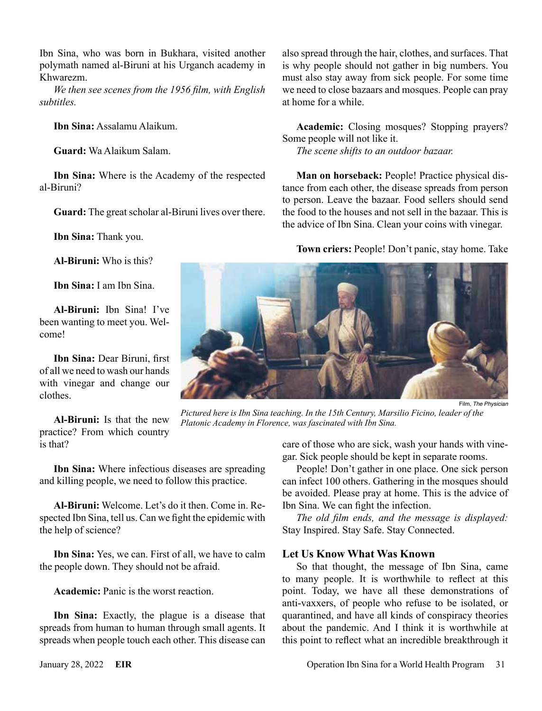Ibn Sina, who was born in Bukhara, visited another polymath named al-Biruni at his Urganch academy in Khwarezm.

*We then see scenes from the 1956 film, with English subtitles.*

**Ibn Sina:** Assalamu Alaikum.

**Guard:** Wa Alaikum Salam.

**Ibn Sina:** Where is the Academy of the respected al-Biruni?

**Guard:** The great scholar al-Biruni lives over there.

**Ibn Sina:** Thank you.

**Al-Biruni:** Who is this?

**Ibn Sina:** I am Ibn Sina.

**Al-Biruni:** Ibn Sina! I've been wanting to meet you. Welcome!

**Ibn Sina:** Dear Biruni, first of all we need to wash our hands with vinegar and change our clothes.

**Al-Biruni:** Is that the new practice? From which country is that?

**Ibn Sina:** Where infectious diseases are spreading and killing people, we need to follow this practice.

**Al-Biruni:** Welcome. Let's do it then. Come in. Respected Ibn Sina, tell us. Can we fight the epidemic with the help of science?

**Ibn Sina:** Yes, we can. First of all, we have to calm the people down. They should not be afraid.

**Academic:** Panic is the worst reaction.

**Ibn Sina:** Exactly, the plague is a disease that spreads from human to human through small agents. It spreads when people touch each other. This disease can also spread through the hair, clothes, and surfaces. That is why people should not gather in big numbers. You must also stay away from sick people. For some time we need to close bazaars and mosques. People can pray at home for a while.

**Academic:** Closing mosques? Stopping prayers? Some people will not like it.

*The scene shifts to an outdoor bazaar.*

**Man on horseback:** People! Practice physical distance from each other, the disease spreads from person to person. Leave the bazaar. Food sellers should send the food to the houses and not sell in the bazaar. This is the advice of Ibn Sina. Clean your coins with vinegar.

**Town criers:** People! Don't panic, stay home. Take



Film, *The Physician*

*Pictured here is Ibn Sina teaching. In the 15th Century, Marsilio Ficino, leader of the Platonic Academy in Florence, was fascinated with Ibn Sina.*

care of those who are sick, wash your hands with vinegar. Sick people should be kept in separate rooms.

People! Don't gather in one place. One sick person can infect 100 others. Gathering in the mosques should be avoided. Please pray at home. This is the advice of Ibn Sina. We can fight the infection.

*The old film ends, and the message is displayed:*  Stay Inspired. Stay Safe. Stay Connected.

#### **Let Us Know What Was Known**

So that thought, the message of Ibn Sina, came to many people. It is worthwhile to reflect at this point. Today, we have all these demonstrations of anti-vaxxers, of people who refuse to be isolated, or quarantined, and have all kinds of conspiracy theories about the pandemic. And I think it is worthwhile at this point to reflect what an incredible breakthrough it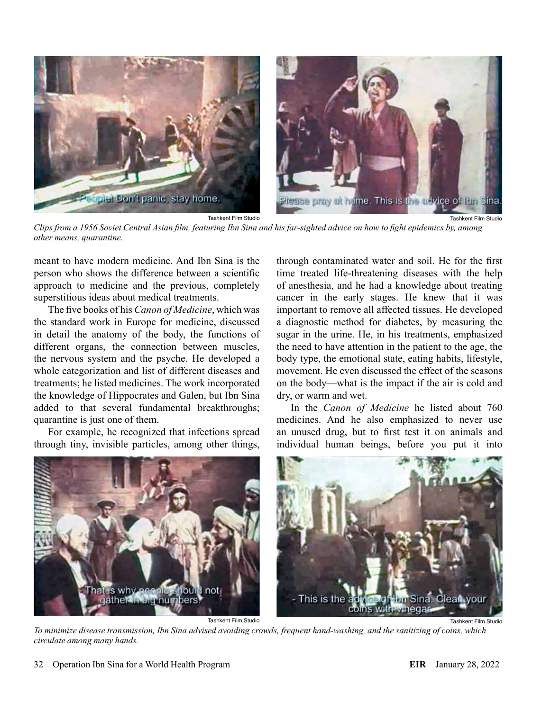

Tashkent Film Studio

*Clips from a 1956 Soviet Central Asian film, featuring Ibn Sina and his far-sighted advice on how to fight epidemics by, among other means, quarantine.*

meant to have modern medicine. And Ibn Sina is the person who shows the difference between a scientific approach to medicine and the previous, completely superstitious ideas about medical treatments.

The five books of his *Canon of Medicine*, which was the standard work in Europe for medicine, discussed in detail the anatomy of the body, the functions of different organs, the connection between muscles, the nervous system and the psyche. He developed a whole categorization and list of different diseases and treatments; he listed medicines. The work incorporated the knowledge of Hippocrates and Galen, but Ibn Sina added to that several fundamental breakthroughs; quarantine is just one of them.

For example, he recognized that infections spread through tiny, invisible particles, among other things,

through contaminated water and soil. He for the first time treated life-threatening diseases with the help of anesthesia, and he had a knowledge about treating cancer in the early stages. He knew that it was important to remove all affected tissues. He developed a diagnostic method for diabetes, by measuring the sugar in the urine. He, in his treatments, emphasized the need to have attention in the patient to the age, the body type, the emotional state, eating habits, lifestyle, movement. He even discussed the effect of the seasons on the body—what is the impact if the air is cold and dry, or warm and wet.

Tashkent Film Studio

In the *Canon of Medicine* he listed about 760 medicines. And he also emphasized to never use an unused drug, but to first test it on animals and individual human beings, before you put it into



Tashkent Film Studio

*To minimize disease transmission, Ibn Sina advised avoiding crowds, frequent hand-washing, and the sanitizing of coins, which circulate among many hands.*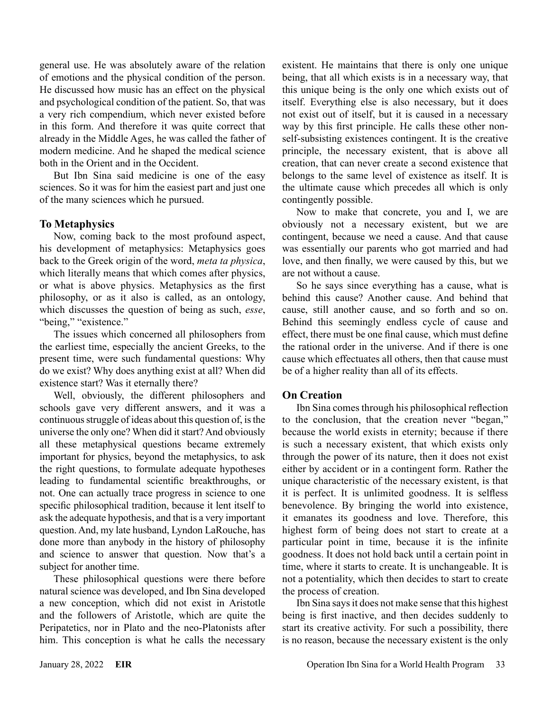general use. He was absolutely aware of the relation of emotions and the physical condition of the person. He discussed how music has an effect on the physical and psychological condition of the patient. So, that was a very rich compendium, which never existed before in this form. And therefore it was quite correct that already in the Middle Ages, he was called the father of modern medicine. And he shaped the medical science both in the Orient and in the Occident.

But Ibn Sina said medicine is one of the easy sciences. So it was for him the easiest part and just one of the many sciences which he pursued.

#### **To Metaphysics**

Now, coming back to the most profound aspect, his development of metaphysics: Metaphysics goes back to the Greek origin of the word, *meta ta physica*, which literally means that which comes after physics, or what is above physics. Metaphysics as the first philosophy, or as it also is called, as an ontology, which discusses the question of being as such, *esse*, "being," "existence."

The issues which concerned all philosophers from the earliest time, especially the ancient Greeks, to the present time, were such fundamental questions: Why do we exist? Why does anything exist at all? When did existence start? Was it eternally there?

Well, obviously, the different philosophers and schools gave very different answers, and it was a continuous struggle of ideas about this question of, is the universe the only one? When did it start? And obviously all these metaphysical questions became extremely important for physics, beyond the metaphysics, to ask the right questions, to formulate adequate hypotheses leading to fundamental scientific breakthroughs, or not. One can actually trace progress in science to one specific philosophical tradition, because it lent itself to ask the adequate hypothesis, and that is a very important question. And, my late husband, Lyndon LaRouche, has done more than anybody in the history of philosophy and science to answer that question. Now that's a subject for another time.

These philosophical questions were there before natural science was developed, and Ibn Sina developed a new conception, which did not exist in Aristotle and the followers of Aristotle, which are quite the Peripatetics, nor in Plato and the neo-Platonists after him. This conception is what he calls the necessary existent. He maintains that there is only one unique being, that all which exists is in a necessary way, that this unique being is the only one which exists out of itself. Everything else is also necessary, but it does not exist out of itself, but it is caused in a necessary way by this first principle. He calls these other nonself-subsisting existences contingent. It is the creative principle, the necessary existent, that is above all creation, that can never create a second existence that belongs to the same level of existence as itself. It is the ultimate cause which precedes all which is only contingently possible.

Now to make that concrete, you and I, we are obviously not a necessary existent, but we are contingent, because we need a cause. And that cause was essentially our parents who got married and had love, and then finally, we were caused by this, but we are not without a cause.

So he says since everything has a cause, what is behind this cause? Another cause. And behind that cause, still another cause, and so forth and so on. Behind this seemingly endless cycle of cause and effect, there must be one final cause, which must define the rational order in the universe. And if there is one cause which effectuates all others, then that cause must be of a higher reality than all of its effects.

#### **On Creation**

Ibn Sina comes through his philosophical reflection to the conclusion, that the creation never "began," because the world exists in eternity; because if there is such a necessary existent, that which exists only through the power of its nature, then it does not exist either by accident or in a contingent form. Rather the unique characteristic of the necessary existent, is that it is perfect. It is unlimited goodness. It is selfless benevolence. By bringing the world into existence, it emanates its goodness and love. Therefore, this highest form of being does not start to create at a particular point in time, because it is the infinite goodness. It does not hold back until a certain point in time, where it starts to create. It is unchangeable. It is not a potentiality, which then decides to start to create the process of creation.

Ibn Sina says it does not make sense that this highest being is first inactive, and then decides suddenly to start its creative activity. For such a possibility, there is no reason, because the necessary existent is the only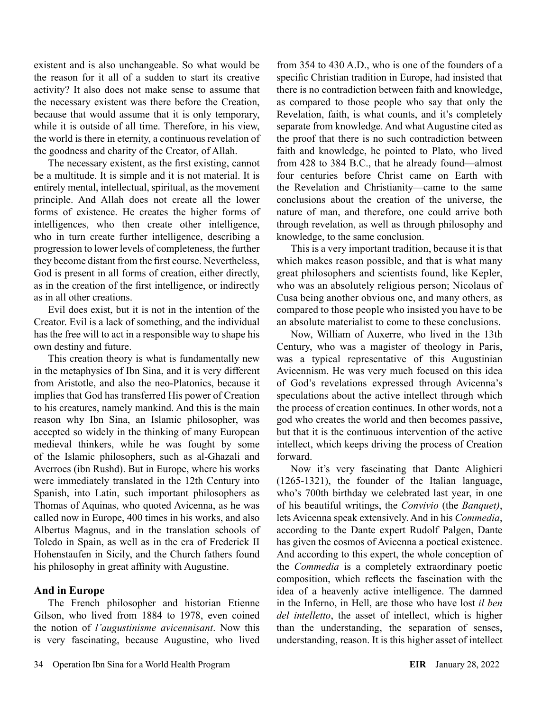existent and is also unchangeable. So what would be the reason for it all of a sudden to start its creative activity? It also does not make sense to assume that the necessary existent was there before the Creation, because that would assume that it is only temporary, while it is outside of all time. Therefore, in his view, the world is there in eternity, a continuous revelation of the goodness and charity of the Creator, of Allah.

The necessary existent, as the first existing, cannot be a multitude. It is simple and it is not material. It is entirely mental, intellectual, spiritual, as the movement principle. And Allah does not create all the lower forms of existence. He creates the higher forms of intelligences, who then create other intelligence, who in turn create further intelligence, describing a progression to lower levels of completeness, the further they become distant from the first course. Nevertheless, God is present in all forms of creation, either directly, as in the creation of the first intelligence, or indirectly as in all other creations.

Evil does exist, but it is not in the intention of the Creator. Evil is a lack of something, and the individual has the free will to act in a responsible way to shape his own destiny and future.

This creation theory is what is fundamentally new in the metaphysics of Ibn Sina, and it is very different from Aristotle, and also the neo-Platonics, because it implies that God has transferred His power of Creation to his creatures, namely mankind. And this is the main reason why Ibn Sina, an Islamic philosopher, was accepted so widely in the thinking of many European medieval thinkers, while he was fought by some of the Islamic philosophers, such as al-Ghazali and Averroes (ibn Rushd). But in Europe, where his works were immediately translated in the 12th Century into Spanish, into Latin, such important philosophers as Thomas of Aquinas, who quoted Avicenna, as he was called now in Europe, 400 times in his works, and also Albertus Magnus, and in the translation schools of Toledo in Spain, as well as in the era of Frederick II Hohenstaufen in Sicily, and the Church fathers found his philosophy in great affinity with Augustine.

#### **And in Europe**

The French philosopher and historian Etienne Gilson, who lived from 1884 to 1978, even coined the notion of *l'augustinisme avicennisant*. Now this is very fascinating, because Augustine, who lived from 354 to 430 A.D., who is one of the founders of a specific Christian tradition in Europe, had insisted that there is no contradiction between faith and knowledge, as compared to those people who say that only the Revelation, faith, is what counts, and it's completely separate from knowledge. And what Augustine cited as the proof that there is no such contradiction between faith and knowledge, he pointed to Plato, who lived from 428 to 384 B.C., that he already found—almost four centuries before Christ came on Earth with the Revelation and Christianity—came to the same conclusions about the creation of the universe, the nature of man, and therefore, one could arrive both through revelation, as well as through philosophy and knowledge, to the same conclusion.

This is a very important tradition, because it is that which makes reason possible, and that is what many great philosophers and scientists found, like Kepler, who was an absolutely religious person; Nicolaus of Cusa being another obvious one, and many others, as compared to those people who insisted you have to be an absolute materialist to come to these conclusions.

Now, William of Auxerre, who lived in the 13th Century, who was a magister of theology in Paris, was a typical representative of this Augustinian Avicennism. He was very much focused on this idea of God's revelations expressed through Avicenna's speculations about the active intellect through which the process of creation continues. In other words, not a god who creates the world and then becomes passive, but that it is the continuous intervention of the active intellect, which keeps driving the process of Creation forward.

Now it's very fascinating that Dante Alighieri (1265-1321), the founder of the Italian language, who's 700th birthday we celebrated last year, in one of his beautiful writings, the *Convivio* (the *Banquet)*, lets Avicenna speak extensively. And in his *Commedia*, according to the Dante expert Rudolf Palgen, Dante has given the cosmos of Avicenna a poetical existence. And according to this expert, the whole conception of the *Commedia* is a completely extraordinary poetic composition, which reflects the fascination with the idea of a heavenly active intelligence. The damned in the Inferno, in Hell, are those who have lost *il ben del intelletto*, the asset of intellect, which is higher than the understanding, the separation of senses, understanding, reason. It is this higher asset of intellect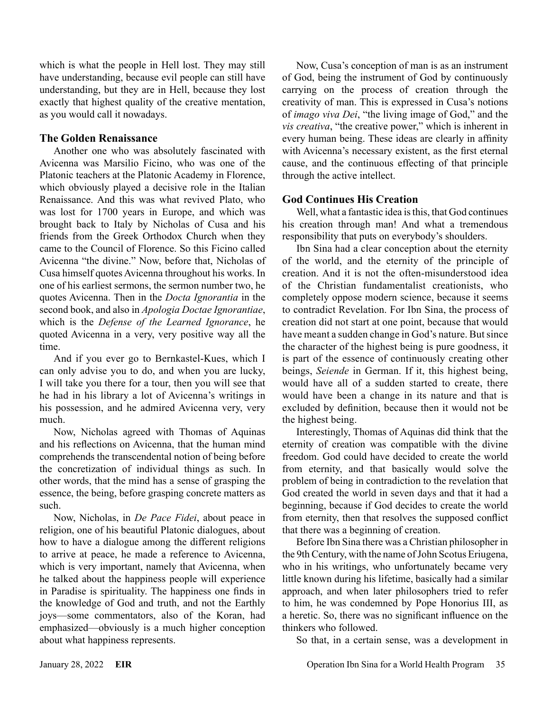which is what the people in Hell lost. They may still have understanding, because evil people can still have understanding, but they are in Hell, because they lost exactly that highest quality of the creative mentation, as you would call it nowadays.

#### **The Golden Renaissance**

Another one who was absolutely fascinated with Avicenna was Marsilio Ficino, who was one of the Platonic teachers at the Platonic Academy in Florence, which obviously played a decisive role in the Italian Renaissance. And this was what revived Plato, who was lost for 1700 years in Europe, and which was brought back to Italy by Nicholas of Cusa and his friends from the Greek Orthodox Church when they came to the Council of Florence. So this Ficino called Avicenna "the divine." Now, before that, Nicholas of Cusa himself quotes Avicenna throughout his works. In one of his earliest sermons, the sermon number two, he quotes Avicenna. Then in the *Docta Ignorantia* in the second book, and also in *Apologia Doctae Ignorantiae*, which is the *Defense of the Learned Ignorance*, he quoted Avicenna in a very, very positive way all the time.

And if you ever go to Bernkastel-Kues, which I can only advise you to do, and when you are lucky, I will take you there for a tour, then you will see that he had in his library a lot of Avicenna's writings in his possession, and he admired Avicenna very, very much.

Now, Nicholas agreed with Thomas of Aquinas and his reflections on Avicenna, that the human mind comprehends the transcendental notion of being before the concretization of individual things as such. In other words, that the mind has a sense of grasping the essence, the being, before grasping concrete matters as such.

Now, Nicholas, in *De Pace Fidei*, about peace in religion, one of his beautiful Platonic dialogues, about how to have a dialogue among the different religions to arrive at peace, he made a reference to Avicenna, which is very important, namely that Avicenna, when he talked about the happiness people will experience in Paradise is spirituality. The happiness one finds in the knowledge of God and truth, and not the Earthly joys—some commentators, also of the Koran, had emphasized—obviously is a much higher conception about what happiness represents.

Now, Cusa's conception of man is as an instrument of God, being the instrument of God by continuously carrying on the process of creation through the creativity of man. This is expressed in Cusa's notions of *imago viva Dei*, "the living image of God," and the *vis creativa*, "the creative power," which is inherent in every human being. These ideas are clearly in affinity with Avicenna's necessary existent, as the first eternal cause, and the continuous effecting of that principle through the active intellect.

### **God Continues His Creation**

Well, what a fantastic idea is this, that God continues his creation through man! And what a tremendous responsibility that puts on everybody's shoulders.

Ibn Sina had a clear conception about the eternity of the world, and the eternity of the principle of creation. And it is not the often-misunderstood idea of the Christian fundamentalist creationists, who completely oppose modern science, because it seems to contradict Revelation. For Ibn Sina, the process of creation did not start at one point, because that would have meant a sudden change in God's nature. But since the character of the highest being is pure goodness, it is part of the essence of continuously creating other beings, *Seiende* in German. If it, this highest being, would have all of a sudden started to create, there would have been a change in its nature and that is excluded by definition, because then it would not be the highest being.

Interestingly, Thomas of Aquinas did think that the eternity of creation was compatible with the divine freedom. God could have decided to create the world from eternity, and that basically would solve the problem of being in contradiction to the revelation that God created the world in seven days and that it had a beginning, because if God decides to create the world from eternity, then that resolves the supposed conflict that there was a beginning of creation.

Before Ibn Sina there was a Christian philosopher in the 9th Century, with the name of John Scotus Eriugena, who in his writings, who unfortunately became very little known during his lifetime, basically had a similar approach, and when later philosophers tried to refer to him, he was condemned by Pope Honorius III, as a heretic. So, there was no significant influence on the thinkers who followed.

So that, in a certain sense, was a development in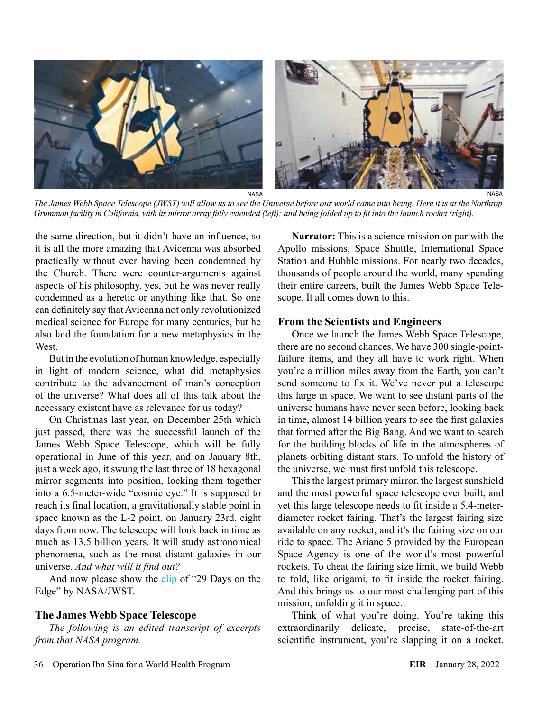

*The James Webb Space Telescope (JWST) will allow us to see the Universe before our world came into being. Here it is at the Northrop Grumman facility in California, with its mirror array fully extended (left); and being folded up to fit into the launch rocket (right).*

the same direction, but it didn't have an influence, so it is all the more amazing that Avicenna was absorbed practically without ever having been condemned by the Church. There were counter-arguments against aspects of his philosophy, yes, but he was never really condemned as a heretic or anything like that. So one can definitely say that Avicenna not only revolutionized medical science for Europe for many centuries, but he also laid the foundation for a new metaphysics in the **West**.

But in the evolution of human knowledge, especially in light of modern science, what did metaphysics contribute to the advancement of man's conception of the universe? What does all of this talk about the necessary existent have as relevance for us today?

On Christmas last year, on December 25th which just passed, there was the successful launch of the James Webb Space Telescope, which will be fully operational in June of this year, and on January 8th, just a week ago, it swung the last three of 18 hexagonal mirror segments into position, locking them together into a 6.5-meter-wide "cosmic eye." It is supposed to reach its final location, a gravitationally stable point in space known as the L-2 point, on January 23rd, eight days from now. The telescope will look back in time as much as 13.5 billion years. It will study astronomical phenomena, such as the most distant galaxies in our universe. *And what will it find out?*

And now please show the [clip](https://www.youtube.com/watch?v=7bz03OnyD2A) of "29 Days on the Edge" by NASA/JWST.

#### **The James Webb Space Telescope**

*The following is an edited transcript of excerpts from that NASA program.*

**Narrator:** This is a science mission on par with the Apollo missions, Space Shuttle, International Space Station and Hubble missions. For nearly two decades, thousands of people around the world, many spending their entire careers, built the James Webb Space Telescope. It all comes down to this.

#### **From the Scientists and Engineers**

Once we launch the James Webb Space Telescope, there are no second chances. We have 300 single-pointfailure items, and they all have to work right. When you're a million miles away from the Earth, you can't send someone to fix it. We've never put a telescope this large in space. We want to see distant parts of the universe humans have never seen before, looking back in time, almost 14 billion years to see the first galaxies that formed after the Big Bang. And we want to search for the building blocks of life in the atmospheres of planets orbiting distant stars. To unfold the history of the universe, we must first unfold this telescope.

This the largest primary mirror, the largest sunshield and the most powerful space telescope ever built, and yet this large telescope needs to fit inside a 5.4-meterdiameter rocket fairing. That's the largest fairing size available on any rocket, and it's the fairing size on our ride to space. The Ariane 5 provided by the European Space Agency is one of the world's most powerful rockets. To cheat the fairing size limit, we build Webb to fold, like origami, to fit inside the rocket fairing. And this brings us to our most challenging part of this mission, unfolding it in space.

Think of what you're doing. You're taking this extraordinarily delicate, precise, state-of-the-art scientific instrument, you're slapping it on a rocket.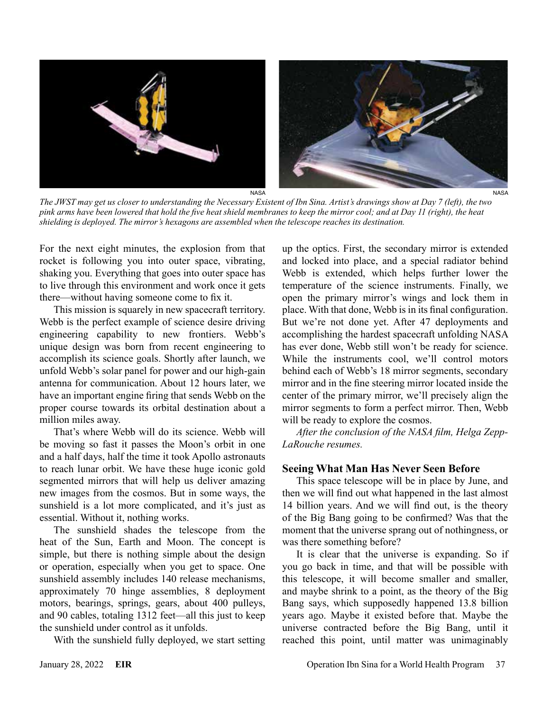

*The JWST may get us closer to understanding the Necessary Existent of Ibn Sina. Artist's drawings show at Day 7 (left), the two pink arms have been lowered that hold the five heat shield membranes to keep the mirror cool; and at Day 11 (right), the heat shielding is deployed. The mirror's hexagons are assembled when the telescope reaches its destination.*

For the next eight minutes, the explosion from that rocket is following you into outer space, vibrating, shaking you. Everything that goes into outer space has to live through this environment and work once it gets there—without having someone come to fix it.

This mission is squarely in new spacecraft territory. Webb is the perfect example of science desire driving engineering capability to new frontiers. Webb's unique design was born from recent engineering to accomplish its science goals. Shortly after launch, we unfold Webb's solar panel for power and our high-gain antenna for communication. About 12 hours later, we have an important engine firing that sends Webb on the proper course towards its orbital destination about a million miles away.

That's where Webb will do its science. Webb will be moving so fast it passes the Moon's orbit in one and a half days, half the time it took Apollo astronauts to reach lunar orbit. We have these huge iconic gold segmented mirrors that will help us deliver amazing new images from the cosmos. But in some ways, the sunshield is a lot more complicated, and it's just as essential. Without it, nothing works.

The sunshield shades the telescope from the heat of the Sun, Earth and Moon. The concept is simple, but there is nothing simple about the design or operation, especially when you get to space. One sunshield assembly includes 140 release mechanisms, approximately 70 hinge assemblies, 8 deployment motors, bearings, springs, gears, about 400 pulleys, and 90 cables, totaling 1312 feet—all this just to keep the sunshield under control as it unfolds.

With the sunshield fully deployed, we start setting

up the optics. First, the secondary mirror is extended and locked into place, and a special radiator behind Webb is extended, which helps further lower the temperature of the science instruments. Finally, we open the primary mirror's wings and lock them in place. With that done, Webb is in its final configuration. But we're not done yet. After 47 deployments and accomplishing the hardest spacecraft unfolding NASA has ever done, Webb still won't be ready for science. While the instruments cool, we'll control motors behind each of Webb's 18 mirror segments, secondary mirror and in the fine steering mirror located inside the center of the primary mirror, we'll precisely align the mirror segments to form a perfect mirror. Then, Webb will be ready to explore the cosmos.

*After the conclusion of the NASA film, Helga Zepp-LaRouche resumes.*

#### **Seeing What Man Has Never Seen Before**

This space telescope will be in place by June, and then we will find out what happened in the last almost 14 billion years. And we will find out, is the theory of the Big Bang going to be confirmed? Was that the moment that the universe sprang out of nothingness, or was there something before?

It is clear that the universe is expanding. So if you go back in time, and that will be possible with this telescope, it will become smaller and smaller, and maybe shrink to a point, as the theory of the Big Bang says, which supposedly happened 13.8 billion years ago. Maybe it existed before that. Maybe the universe contracted before the Big Bang, until it reached this point, until matter was unimaginably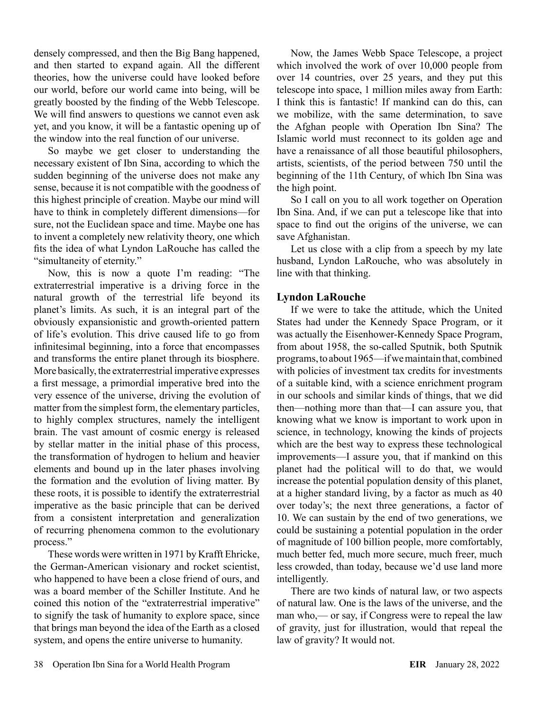densely compressed, and then the Big Bang happened, and then started to expand again. All the different theories, how the universe could have looked before our world, before our world came into being, will be greatly boosted by the finding of the Webb Telescope. We will find answers to questions we cannot even ask yet, and you know, it will be a fantastic opening up of the window into the real function of our universe.

So maybe we get closer to understanding the necessary existent of Ibn Sina, according to which the sudden beginning of the universe does not make any sense, because it is not compatible with the goodness of this highest principle of creation. Maybe our mind will have to think in completely different dimensions—for sure, not the Euclidean space and time. Maybe one has to invent a completely new relativity theory, one which fits the idea of what Lyndon LaRouche has called the "simultaneity of eternity."

Now, this is now a quote I'm reading: "The extraterrestrial imperative is a driving force in the natural growth of the terrestrial life beyond its planet's limits. As such, it is an integral part of the obviously expansionistic and growth-oriented pattern of life's evolution. This drive caused life to go from infinitesimal beginning, into a force that encompasses and transforms the entire planet through its biosphere. More basically, the extraterrestrial imperative expresses a first message, a primordial imperative bred into the very essence of the universe, driving the evolution of matter from the simplest form, the elementary particles, to highly complex structures, namely the intelligent brain. The vast amount of cosmic energy is released by stellar matter in the initial phase of this process, the transformation of hydrogen to helium and heavier elements and bound up in the later phases involving the formation and the evolution of living matter. By these roots, it is possible to identify the extraterrestrial imperative as the basic principle that can be derived from a consistent interpretation and generalization of recurring phenomena common to the evolutionary process."

These words were written in 1971 by Krafft Ehricke, the German-American visionary and rocket scientist, who happened to have been a close friend of ours, and was a board member of the Schiller Institute. And he coined this notion of the "extraterrestrial imperative" to signify the task of humanity to explore space, since that brings man beyond the idea of the Earth as a closed system, and opens the entire universe to humanity.

Now, the James Webb Space Telescope, a project which involved the work of over 10,000 people from over 14 countries, over 25 years, and they put this telescope into space, 1 million miles away from Earth: I think this is fantastic! If mankind can do this, can we mobilize, with the same determination, to save the Afghan people with Operation Ibn Sina? The Islamic world must reconnect to its golden age and have a renaissance of all those beautiful philosophers, artists, scientists, of the period between 750 until the beginning of the 11th Century, of which Ibn Sina was the high point.

So I call on you to all work together on Operation Ibn Sina. And, if we can put a telescope like that into space to find out the origins of the universe, we can save Afghanistan.

Let us close with a clip from a speech by my late husband, Lyndon LaRouche, who was absolutely in line with that thinking.

#### **Lyndon LaRouche**

If we were to take the attitude, which the United States had under the Kennedy Space Program, or it was actually the Eisenhower-Kennedy Space Program, from about 1958, the so-called Sputnik, both Sputnik programs, to about 1965—if we maintain that, combined with policies of investment tax credits for investments of a suitable kind, with a science enrichment program in our schools and similar kinds of things, that we did then—nothing more than that—I can assure you, that knowing what we know is important to work upon in science, in technology, knowing the kinds of projects which are the best way to express these technological improvements—I assure you, that if mankind on this planet had the political will to do that, we would increase the potential population density of this planet, at a higher standard living, by a factor as much as 40 over today's; the next three generations, a factor of 10. We can sustain by the end of two generations, we could be sustaining a potential population in the order of magnitude of 100 billion people, more comfortably, much better fed, much more secure, much freer, much less crowded, than today, because we'd use land more intelligently.

There are two kinds of natural law, or two aspects of natural law. One is the laws of the universe, and the man who,— or say, if Congress were to repeal the law of gravity, just for illustration, would that repeal the law of gravity? It would not.